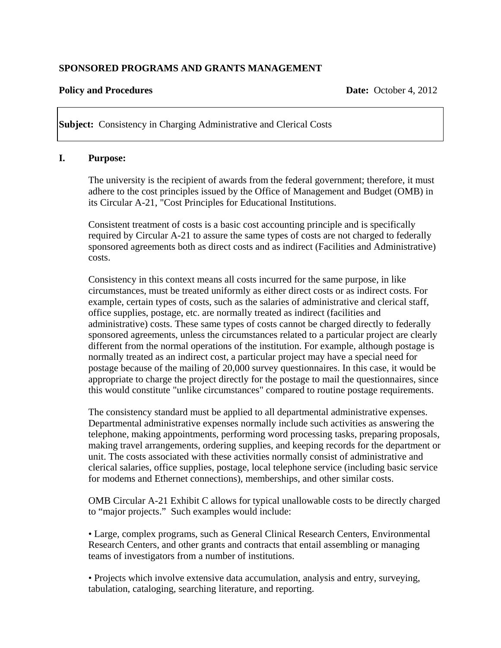### **SPONSORED PROGRAMS AND GRANTS MANAGEMENT**

#### **Policy and Procedures Date:** October 4, 2012

**Subject:** Consistency in Charging Administrative and Clerical Costs

#### **I. Purpose:**

 The university is the recipient of awards from the federal government; therefore, it must adhere to the cost principles issued by the Office of Management and Budget (OMB) in its Circular A-21, "Cost Principles for Educational Institutions.

Consistent treatment of costs is a basic cost accounting principle and is specifically required by Circular A-21 to assure the same types of costs are not charged to federally sponsored agreements both as direct costs and as indirect (Facilities and Administrative) costs.

Consistency in this context means all costs incurred for the same purpose, in like circumstances, must be treated uniformly as either direct costs or as indirect costs. For example, certain types of costs, such as the salaries of administrative and clerical staff, office supplies, postage, etc. are normally treated as indirect (facilities and administrative) costs. These same types of costs cannot be charged directly to federally sponsored agreements, unless the circumstances related to a particular project are clearly different from the normal operations of the institution. For example, although postage is normally treated as an indirect cost, a particular project may have a special need for postage because of the mailing of 20,000 survey questionnaires. In this case, it would be appropriate to charge the project directly for the postage to mail the questionnaires, since this would constitute "unlike circumstances" compared to routine postage requirements.

The consistency standard must be applied to all departmental administrative expenses. Departmental administrative expenses normally include such activities as answering the telephone, making appointments, performing word processing tasks, preparing proposals, making travel arrangements, ordering supplies, and keeping records for the department or unit. The costs associated with these activities normally consist of administrative and clerical salaries, office supplies, postage, local telephone service (including basic service for modems and Ethernet connections), memberships, and other similar costs.

OMB Circular A-21 Exhibit C allows for typical unallowable costs to be directly charged to "major projects." Such examples would include:

• Large, complex programs, such as General Clinical Research Centers, Environmental Research Centers, and other grants and contracts that entail assembling or managing teams of investigators from a number of institutions.

• Projects which involve extensive data accumulation, analysis and entry, surveying, tabulation, cataloging, searching literature, and reporting.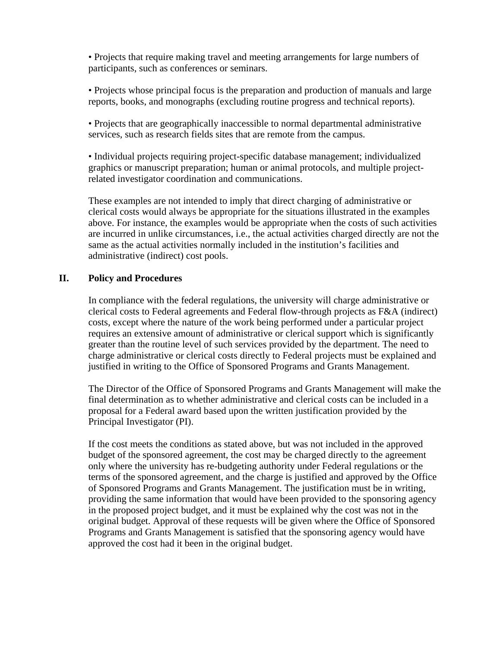• Projects that require making travel and meeting arrangements for large numbers of participants, such as conferences or seminars.

• Projects whose principal focus is the preparation and production of manuals and large reports, books, and monographs (excluding routine progress and technical reports).

• Projects that are geographically inaccessible to normal departmental administrative services, such as research fields sites that are remote from the campus.

• Individual projects requiring project-specific database management; individualized graphics or manuscript preparation; human or animal protocols, and multiple projectrelated investigator coordination and communications.

These examples are not intended to imply that direct charging of administrative or clerical costs would always be appropriate for the situations illustrated in the examples above. For instance, the examples would be appropriate when the costs of such activities are incurred in unlike circumstances, i.e., the actual activities charged directly are not the same as the actual activities normally included in the institution's facilities and administrative (indirect) cost pools.

# **II. Policy and Procedures**

In compliance with the federal regulations, the university will charge administrative or clerical costs to Federal agreements and Federal flow-through projects as F&A (indirect) costs, except where the nature of the work being performed under a particular project requires an extensive amount of administrative or clerical support which is significantly greater than the routine level of such services provided by the department. The need to charge administrative or clerical costs directly to Federal projects must be explained and justified in writing to the Office of Sponsored Programs and Grants Management.

The Director of the Office of Sponsored Programs and Grants Management will make the final determination as to whether administrative and clerical costs can be included in a proposal for a Federal award based upon the written justification provided by the Principal Investigator (PI).

If the cost meets the conditions as stated above, but was not included in the approved budget of the sponsored agreement, the cost may be charged directly to the agreement only where the university has re-budgeting authority under Federal regulations or the terms of the sponsored agreement, and the charge is justified and approved by the Office of Sponsored Programs and Grants Management. The justification must be in writing, providing the same information that would have been provided to the sponsoring agency in the proposed project budget, and it must be explained why the cost was not in the original budget. Approval of these requests will be given where the Office of Sponsored Programs and Grants Management is satisfied that the sponsoring agency would have approved the cost had it been in the original budget.